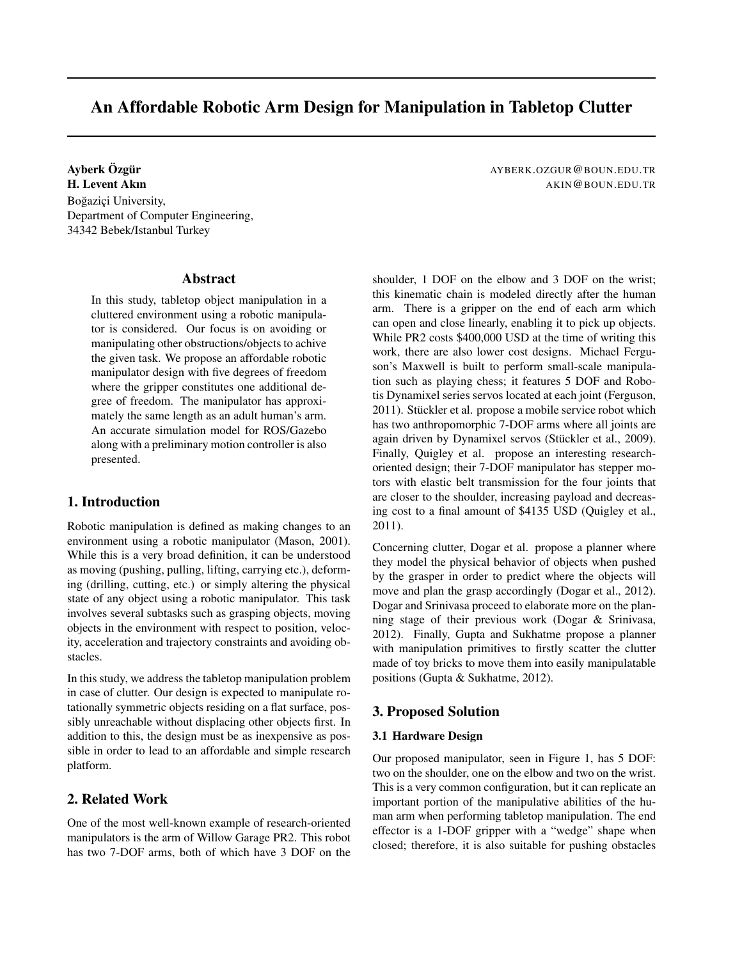# An Affordable Robotic Arm Design for Manipulation in Tabletop Clutter

# Ayberk Ozg ¨ ur¨ AYBERK.OZGUR@BOUN.EDU.TR **H. Levent Akin** AKIN@BOUN.EDU.TR Boğaziçi University, Department of Computer Engineering, 34342 Bebek/Istanbul Turkey

## Abstract

In this study, tabletop object manipulation in a cluttered environment using a robotic manipulator is considered. Our focus is on avoiding or manipulating other obstructions/objects to achive the given task. We propose an affordable robotic manipulator design with five degrees of freedom where the gripper constitutes one additional degree of freedom. The manipulator has approximately the same length as an adult human's arm. An accurate simulation model for ROS/Gazebo along with a preliminary motion controller is also presented.

### 1. Introduction

Robotic manipulation is defined as making changes to an environment using a robotic manipulator (Mason, 2001). While this is a very broad definition, it can be understood as moving (pushing, pulling, lifting, carrying etc.), deforming (drilling, cutting, etc.) or simply altering the physical state of any object using a robotic manipulator. This task involves several subtasks such as grasping objects, moving objects in the environment with respect to position, velocity, acceleration and trajectory constraints and avoiding obstacles.

In this study, we address the tabletop manipulation problem in case of clutter. Our design is expected to manipulate rotationally symmetric objects residing on a flat surface, possibly unreachable without displacing other objects first. In addition to this, the design must be as inexpensive as possible in order to lead to an affordable and simple research platform.

# 2. Related Work

One of the most well-known example of research-oriented manipulators is the arm of Willow Garage PR2. This robot has two 7-DOF arms, both of which have 3 DOF on the

shoulder, 1 DOF on the elbow and 3 DOF on the wrist; this kinematic chain is modeled directly after the human arm. There is a gripper on the end of each arm which can open and close linearly, enabling it to pick up objects. While PR2 costs \$400,000 USD at the time of writing this work, there are also lower cost designs. Michael Ferguson's Maxwell is built to perform small-scale manipulation such as playing chess; it features 5 DOF and Robotis Dynamixel series servos located at each joint (Ferguson, 2011). Stückler et al. propose a mobile service robot which has two anthropomorphic 7-DOF arms where all joints are again driven by Dynamixel servos (Stückler et al., 2009). Finally, Quigley et al. propose an interesting researchoriented design; their 7-DOF manipulator has stepper motors with elastic belt transmission for the four joints that are closer to the shoulder, increasing payload and decreasing cost to a final amount of \$4135 USD (Quigley et al., 2011).

Concerning clutter, Dogar et al. propose a planner where they model the physical behavior of objects when pushed by the grasper in order to predict where the objects will move and plan the grasp accordingly (Dogar et al., 2012). Dogar and Srinivasa proceed to elaborate more on the planning stage of their previous work (Dogar & Srinivasa, 2012). Finally, Gupta and Sukhatme propose a planner with manipulation primitives to firstly scatter the clutter made of toy bricks to move them into easily manipulatable positions (Gupta & Sukhatme, 2012).

### 3. Proposed Solution

#### 3.1 Hardware Design

Our proposed manipulator, seen in Figure 1, has 5 DOF: two on the shoulder, one on the elbow and two on the wrist. This is a very common configuration, but it can replicate an important portion of the manipulative abilities of the human arm when performing tabletop manipulation. The end effector is a 1-DOF gripper with a "wedge" shape when closed; therefore, it is also suitable for pushing obstacles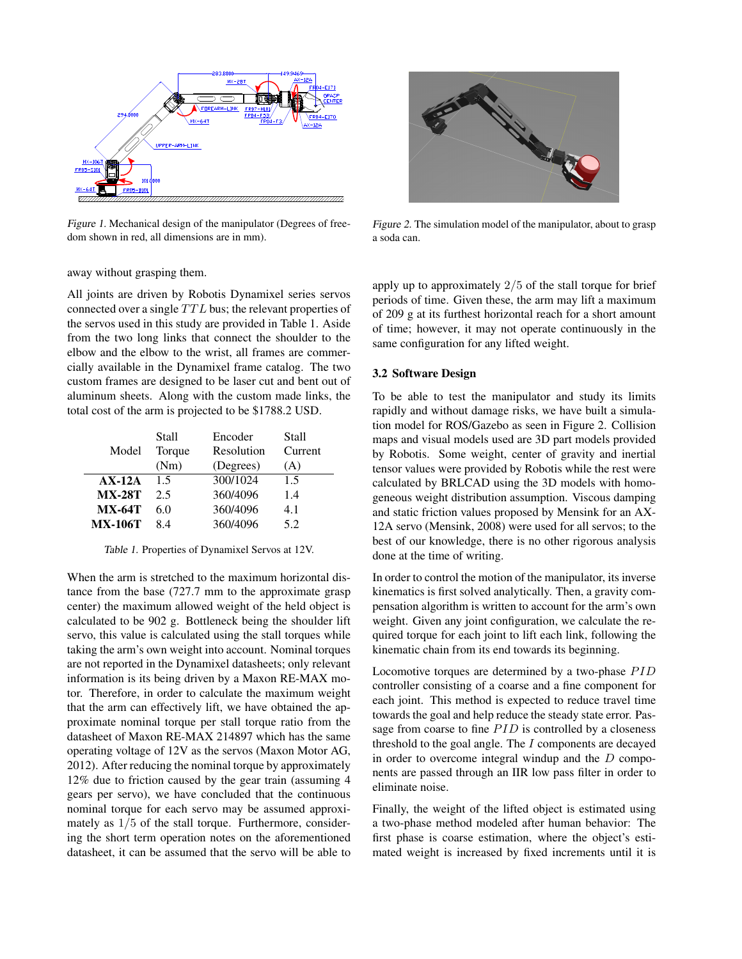

Figure 1. Mechanical design of the manipulator (Degrees of freedom shown in red, all dimensions are in mm).

away without grasping them.

All joints are driven by Robotis Dynamixel series servos connected over a single  $TTL$  bus; the relevant properties of the servos used in this study are provided in Table 1. Aside from the two long links that connect the shoulder to the elbow and the elbow to the wrist, all frames are commercially available in the Dynamixel frame catalog. The two custom frames are designed to be laser cut and bent out of aluminum sheets. Along with the custom made links, the total cost of the arm is projected to be \$1788.2 USD.

|                | Stall  | Encoder    | <b>Stall</b> |
|----------------|--------|------------|--------------|
| Model          | Torque | Resolution | Current      |
|                | (Nm)   | (Degrees)  | (A)          |
| $AX-12A$       | 1.5    | 300/1024   | 1.5          |
| <b>MX-28T</b>  | 2.5    | 360/4096   | 1.4          |
| $MX-64T$       | 6.0    | 360/4096   | 4.1          |
| <b>MX-106T</b> | 8.4    | 360/4096   | 5.2          |

Table 1. Properties of Dynamixel Servos at 12V.

When the arm is stretched to the maximum horizontal distance from the base (727.7 mm to the approximate grasp center) the maximum allowed weight of the held object is calculated to be 902 g. Bottleneck being the shoulder lift servo, this value is calculated using the stall torques while taking the arm's own weight into account. Nominal torques are not reported in the Dynamixel datasheets; only relevant information is its being driven by a Maxon RE-MAX motor. Therefore, in order to calculate the maximum weight that the arm can effectively lift, we have obtained the approximate nominal torque per stall torque ratio from the datasheet of Maxon RE-MAX 214897 which has the same operating voltage of 12V as the servos (Maxon Motor AG, 2012). After reducing the nominal torque by approximately 12% due to friction caused by the gear train (assuming 4 gears per servo), we have concluded that the continuous nominal torque for each servo may be assumed approximately as  $1/5$  of the stall torque. Furthermore, considering the short term operation notes on the aforementioned datasheet, it can be assumed that the servo will be able to



Figure 2. The simulation model of the manipulator, about to grasp a soda can.

apply up to approximately  $2/5$  of the stall torque for brief periods of time. Given these, the arm may lift a maximum of 209 g at its furthest horizontal reach for a short amount of time; however, it may not operate continuously in the same configuration for any lifted weight.

#### 3.2 Software Design

To be able to test the manipulator and study its limits rapidly and without damage risks, we have built a simulation model for ROS/Gazebo as seen in Figure 2. Collision maps and visual models used are 3D part models provided by Robotis. Some weight, center of gravity and inertial tensor values were provided by Robotis while the rest were calculated by BRLCAD using the 3D models with homogeneous weight distribution assumption. Viscous damping and static friction values proposed by Mensink for an AX-12A servo (Mensink, 2008) were used for all servos; to the best of our knowledge, there is no other rigorous analysis done at the time of writing.

In order to control the motion of the manipulator, its inverse kinematics is first solved analytically. Then, a gravity compensation algorithm is written to account for the arm's own weight. Given any joint configuration, we calculate the required torque for each joint to lift each link, following the kinematic chain from its end towards its beginning.

Locomotive torques are determined by a two-phase  $PID$ controller consisting of a coarse and a fine component for each joint. This method is expected to reduce travel time towards the goal and help reduce the steady state error. Passage from coarse to fine  $PID$  is controlled by a closeness threshold to the goal angle. The  $I$  components are decayed in order to overcome integral windup and the  $D$  components are passed through an IIR low pass filter in order to eliminate noise.

Finally, the weight of the lifted object is estimated using a two-phase method modeled after human behavior: The first phase is coarse estimation, where the object's estimated weight is increased by fixed increments until it is